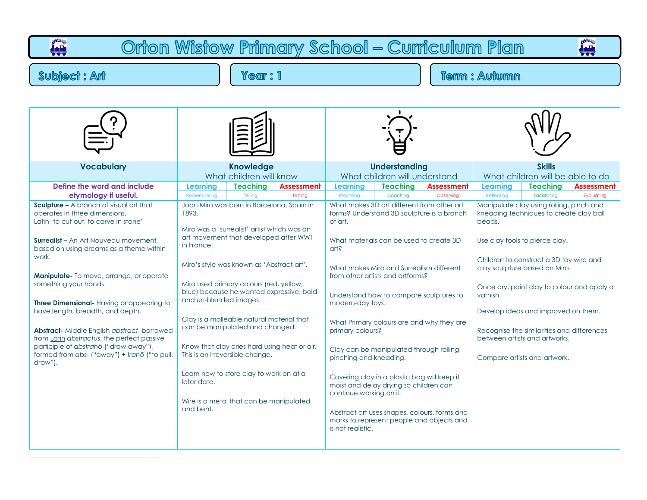| Orton Wistow Primary School - Curriculum Plan                                                                                                                                                                                                                                                                                                                                                                                                                                                                                                                                                   |                                                                                                                                                                                                                                                                                       |                                                                                                                                                                                                                                                                                                                    |                              |                                                                                                                                     |                                                                                                                                                                                                                                                                                                                                                       |                                                                                                                                                                                      |                                                                                                                                                                                                                                                                                                                                                                                                                             |                                 |                                 |  |  |
|-------------------------------------------------------------------------------------------------------------------------------------------------------------------------------------------------------------------------------------------------------------------------------------------------------------------------------------------------------------------------------------------------------------------------------------------------------------------------------------------------------------------------------------------------------------------------------------------------|---------------------------------------------------------------------------------------------------------------------------------------------------------------------------------------------------------------------------------------------------------------------------------------|--------------------------------------------------------------------------------------------------------------------------------------------------------------------------------------------------------------------------------------------------------------------------------------------------------------------|------------------------------|-------------------------------------------------------------------------------------------------------------------------------------|-------------------------------------------------------------------------------------------------------------------------------------------------------------------------------------------------------------------------------------------------------------------------------------------------------------------------------------------------------|--------------------------------------------------------------------------------------------------------------------------------------------------------------------------------------|-----------------------------------------------------------------------------------------------------------------------------------------------------------------------------------------------------------------------------------------------------------------------------------------------------------------------------------------------------------------------------------------------------------------------------|---------------------------------|---------------------------------|--|--|
| <b>Subject: Ant</b>                                                                                                                                                                                                                                                                                                                                                                                                                                                                                                                                                                             | <b>Term: Autumn</b>                                                                                                                                                                                                                                                                   |                                                                                                                                                                                                                                                                                                                    |                              |                                                                                                                                     |                                                                                                                                                                                                                                                                                                                                                       |                                                                                                                                                                                      |                                                                                                                                                                                                                                                                                                                                                                                                                             |                                 |                                 |  |  |
| <b>Vocabulary</b>                                                                                                                                                                                                                                                                                                                                                                                                                                                                                                                                                                               |                                                                                                                                                                                                                                                                                       | <b>Knowledge</b>                                                                                                                                                                                                                                                                                                   |                              |                                                                                                                                     | <b>Understanding</b>                                                                                                                                                                                                                                                                                                                                  |                                                                                                                                                                                      | <b>Skills</b>                                                                                                                                                                                                                                                                                                                                                                                                               |                                 |                                 |  |  |
|                                                                                                                                                                                                                                                                                                                                                                                                                                                                                                                                                                                                 |                                                                                                                                                                                                                                                                                       | What children will know                                                                                                                                                                                                                                                                                            |                              |                                                                                                                                     | What children will understand                                                                                                                                                                                                                                                                                                                         |                                                                                                                                                                                      | What children will be able to do                                                                                                                                                                                                                                                                                                                                                                                            |                                 |                                 |  |  |
| Define the word and include<br>etymology if useful.                                                                                                                                                                                                                                                                                                                                                                                                                                                                                                                                             | Learning<br>Remembering                                                                                                                                                                                                                                                               | <b>Teaching</b><br>Telling                                                                                                                                                                                                                                                                                         | <b>Assessment</b><br>Testing | Learning<br>Practising                                                                                                              | <b>Teaching</b><br>Coaching                                                                                                                                                                                                                                                                                                                           | <b>Assessment</b><br>Observing                                                                                                                                                       | Learning<br>Reflecting                                                                                                                                                                                                                                                                                                                                                                                                      | <b>Teaching</b><br>Facilitating | <b>Assessment</b><br>Evaluating |  |  |
| <b>Sculpture - A branch of visual art that</b><br>operates in three dimensions.<br>Latin 'to cut out, to carve in stone'<br><b>Surrealist - An Art Nouveau movement</b><br>based on using dreams as a theme within<br>work.<br><b>Manipulate-</b> To move, arrange, or operate<br>something your hands.<br>Three Dimensional-Having or appearing to<br>have length, breadth, and depth.<br><b>Abstract-</b> Middle English abstract, borrowed<br>from Latin abstractus, the perfect passive<br>participle of abstrahō ("draw away"),<br>formed from abs- ("away") + trahō ("to pull,<br>draw"). | Joan Miro was born in Barcelona, Spain in<br>1893.<br>in France.<br>Miro's style was known as 'Abstract art'.<br>blue) because he wanted expressive, bold<br>and un-blended images.<br>can be manipulated and changed.<br>This is an irreversible change.<br>later date.<br>and bent. | Miro was a 'surrealist' artist which was an<br>art movement that developed after WW1<br>Miro used primary colours (red, yellow,<br>Clay is a malleable natural material that<br>Know that clay dries hard using heat or air.<br>Learn how to store clay to work on at a<br>Wire is a metal that can be manipulated |                              | of art.<br>$crit$<br>modern-day toys.<br>primary colours?<br>pinching and kneading.<br>continue working on it.<br>is not realistic. | What makes 3D art different from other art<br>What materials can be used to create 3D<br>What makes Miro and Surrealism different<br>from other artists and artforms?<br>Understand how to compare sculptures to<br>Clay can be manipulated through rolling,<br>Covering clay in a plastic bag will keep it<br>moist and delay drying so children can | forms? Understand 3D sculpture is a branch<br>What Primary colours are and why they are<br>Abstract art uses shapes, colours, forms and<br>marks to represent people and objects and | Manipulate clay using rolling, pinch and<br>kneading techniques to create clay ball<br>beads.<br>Use clay tools to pierce clay.<br>Children to construct a 3D toy wire and<br>clay sculpture based on Miro.<br>Once dry, paint clay to colour and apply a<br>varnish.<br>Develop ideas and improved on them.<br>Recognise the similarities and differences<br>between artists and artworks.<br>Compare artists and artwork. |                                 |                                 |  |  |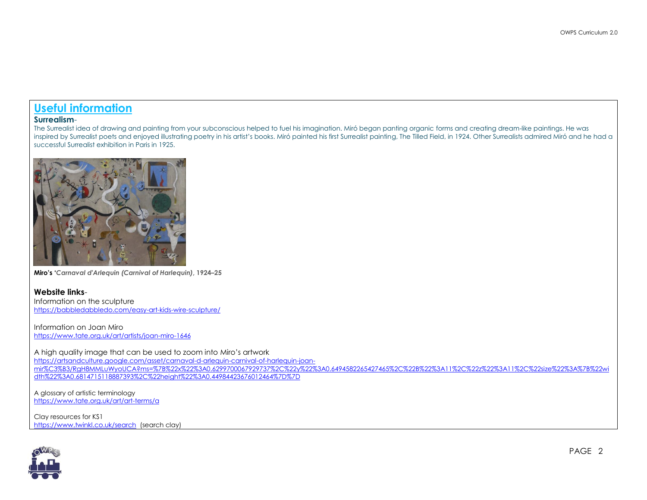## **Useful information**

#### **Surrealism**-

The Surrealist idea of drawing and painting from your subconscious helped to fuel his imagination. Miró began panting organic forms and creating dream-like paintings. He was inspired by Surrealist poets and enjoyed illustrating poetry in his artist's books. Miró painted his first Surrealist painting, The Tilled Field, in 1924. Other Surrealists admired Miró and he had a successful Surrealist exhibition in Paris in 1925.



**Miro's '***Carnaval d'Arlequin (Carnival of Harlequin)***, 1924–25** 

#### **Website links**-

Information on the sculpture <https://babbledabbledo.com/easy-art-kids-wire-sculpture/>

Information on Joan Miro <https://www.tate.org.uk/art/artists/joan-miro-1646>

A high quality image that can be used to zoom into Miro's artwork [https://artsandculture.google.com/asset/carnaval-d-arlequin-carnival-of-harlequin-joan](https://artsandculture.google.com/asset/carnaval-d-arlequin-carnival-of-harlequin-joan-mir%C3%B3/RgH8MMLuWyoUCA?ms=%7B%22x%22%3A0.6299700067929737%2C%22y%22%3A0.6494582265427465%2C%22B%22%3A11%2C%22z%22%3A11%2C%22size%22%3A%7B%22width%22%3A0.6814715118887393%2C%22height%22%3A0.44984423676012464%7D%7D)[mir%C3%B3/RgH8MMLuWyoUCA?ms=%7B%22x%22%3A0.6299700067929737%2C%22y%22%3A0.6494582265427465%2C%22B%22%3A11%2C%22z%22%3A11%2C%22size%22%3A%7B%22wi](https://artsandculture.google.com/asset/carnaval-d-arlequin-carnival-of-harlequin-joan-mir%C3%B3/RgH8MMLuWyoUCA?ms=%7B%22x%22%3A0.6299700067929737%2C%22y%22%3A0.6494582265427465%2C%22B%22%3A11%2C%22z%22%3A11%2C%22size%22%3A%7B%22width%22%3A0.6814715118887393%2C%22height%22%3A0.44984423676012464%7D%7D) [dth%22%3A0.6814715118887393%2C%22height%22%3A0.44984423676012464%7D%7D](https://artsandculture.google.com/asset/carnaval-d-arlequin-carnival-of-harlequin-joan-mir%C3%B3/RgH8MMLuWyoUCA?ms=%7B%22x%22%3A0.6299700067929737%2C%22y%22%3A0.6494582265427465%2C%22B%22%3A11%2C%22z%22%3A11%2C%22size%22%3A%7B%22width%22%3A0.6814715118887393%2C%22height%22%3A0.44984423676012464%7D%7D)

A glossary of artistic terminology <https://www.tate.org.uk/art/art-terms/a>

Clay resources for KS1 <https://www.twinkl.co.uk/search>(search clay)

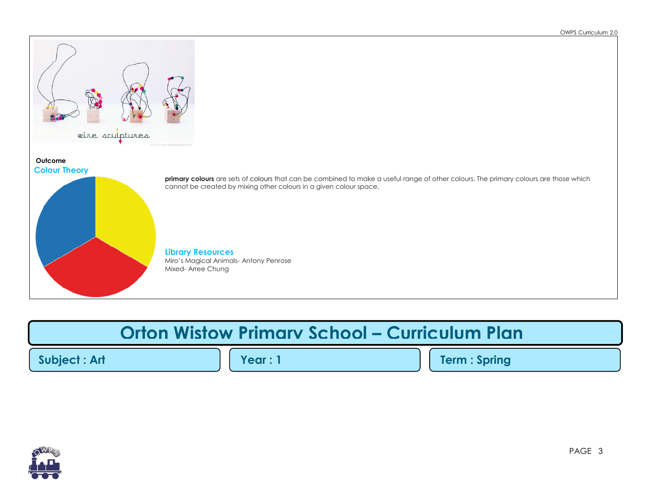

# **Orton Wistow Primary School – Curriculum Plan**

**Subject : Art Year : 1 Term : Spring**

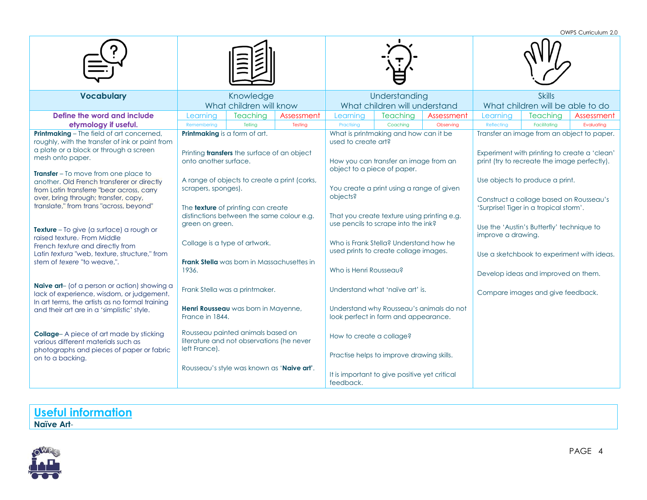OWPS Curriculum 2.0

|                                                                                                                                                                                                                           |                                                                                          |                                                                                                                                        |            |                                                                                                                     |                                                                                          |            | אש וויטוטטוווטט ניזי ט                                                                                                                     |                                            |            |
|---------------------------------------------------------------------------------------------------------------------------------------------------------------------------------------------------------------------------|------------------------------------------------------------------------------------------|----------------------------------------------------------------------------------------------------------------------------------------|------------|---------------------------------------------------------------------------------------------------------------------|------------------------------------------------------------------------------------------|------------|--------------------------------------------------------------------------------------------------------------------------------------------|--------------------------------------------|------------|
| <b>Vocabulary</b>                                                                                                                                                                                                         | Knowledge<br>What children will know                                                     |                                                                                                                                        |            | Understanding<br>What children will understand                                                                      |                                                                                          |            | <b>Skills</b><br>What children will be able to do                                                                                          |                                            |            |
| Define the word and include                                                                                                                                                                                               | Learnina                                                                                 | <b>Teaching</b>                                                                                                                        | Assessment | Learnina                                                                                                            | <b>Teaching</b>                                                                          | Assessment | Learning                                                                                                                                   | <b>Teaching</b>                            | Assessment |
| etymology if useful.                                                                                                                                                                                                      | Remembering                                                                              | Telling                                                                                                                                | Testing    | Practising                                                                                                          | Coaching                                                                                 | Observing  | Reflecting                                                                                                                                 | Facilitating                               | Evaluating |
| <b>Printmaking</b> - The field of art concerned,<br>roughly, with the transfer of ink or paint from<br>a plate or a block or through a screen<br>mesh onto paper.                                                         | Printmaking is a form of art.<br>onto another surface.                                   | Printing transfers the surface of an object                                                                                            |            | used to create art?<br>object to a piece of paper.                                                                  | What is printmaking and how can it be<br>How you can transfer an image from an           |            | Transfer an image from an object to paper.<br>Experiment with printing to create a 'clean'<br>print (try to recreate the image perfectly). |                                            |            |
| <b>Transfer</b> – To move from one place to<br>another. Old French transferer or directly<br>from Latin transferre "bear across, carry<br>over, bring through; transfer, copy,<br>translate," from trans "across, beyond" | scrapers, sponges).                                                                      | A range of objects to create a print (corks,<br>The <b>texture</b> of printing can create<br>distinctions between the same colour e.g. |            | objects?                                                                                                            | You create a print using a range of given<br>That you create texture using printing e.g. |            | Use objects to produce a print.<br>Construct a collage based on Rousseau's<br>'Surprise! Tiger in a tropical storm'.                       |                                            |            |
| <b>Texture</b> – To give (a surface) a rough or<br>raised texture. From Middle<br>French texture and directly from<br>Latin textura "web, texture, structure," from<br>stem of texere "to weave.".                        | green on green.<br>Collage is a type of artwork.<br>1936.                                | <b>Frank Stella</b> was born in Massachusettes in                                                                                      |            | used prints to create collage images.<br>Who is Henri Rousseau?                                                     | use pencils to scrape into the ink?<br>Who is Frank Stella? Understand how he            |            | Use the 'Austin's Butterfly' technique to<br>improve a drawing.<br>Develop ideas and improved on them.                                     | Use a sketchbook to experiment with ideas. |            |
| <b>Naive art-</b> (of a person or action) showing a<br>lack of experience, wisdom, or judgement.<br>In art terms, the artists as no formal training<br>and their art are in a 'simplistic' style.                         | Frank Stella was a printmaker.<br>Henri Rousseau was born in Mayenne,<br>France in 1844. |                                                                                                                                        |            | Understand what 'naïve art' is.<br>Understand why Rousseau's animals do not<br>look perfect in form and appearance. |                                                                                          |            | Compare images and give feedback.                                                                                                          |                                            |            |
| Collage-A piece of art made by sticking<br>various different materials such as<br>photographs and pieces of paper or fabric<br>on to a backing.                                                                           | left France).                                                                            | Rousseau painted animals based on<br>literature and not observations (he never<br>Rousseau's style was known as 'Naive art'.           |            | How to create a collage?<br>It is important to give positive yet critical<br>feedback.                              | Practise helps to improve drawing skills.                                                |            |                                                                                                                                            |                                            |            |

**Useful information Naïve Art**-



PAGE 4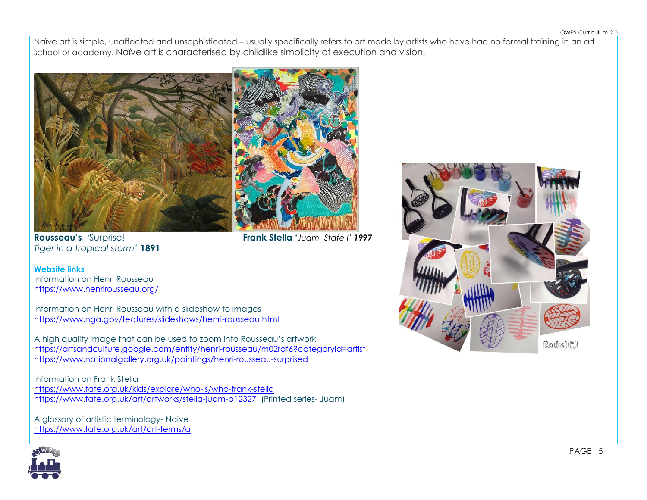Naïve art is simple, unaffected and unsophisticated – usually specifically refers to art made by artists who have had no formal training in an art school or academy. Naïve art is characterised by childlike simplicity of execution and vision.



**Rousseau's '**Surprise! **Frank Stella '***Juam, State I' 1997*

*Tiger in a tropical storm'* **1891**

**Website links** Information on Henri Rousseau <https://www.henrirousseau.org/>

Information on Henri Rousseau with a slideshow to images <https://www.nga.gov/features/slideshows/henri-rousseau.html>

A high quality image that can be used to zoom into Rousseau's artwork <https://artsandculture.google.com/entity/henri-rousseau/m02rdf6?categoryId=artist> <https://www.nationalgallery.org.uk/paintings/henri-rousseau-surprised>

Information on Frank Stella <https://www.tate.org.uk/kids/explore/who-is/who-frank-stella> <https://www.tate.org.uk/art/artworks/stella-juam-p12327>(Printed series- Juam)

A glossary of artistic terminology- Naive <https://www.tate.org.uk/art/art-terms/a>



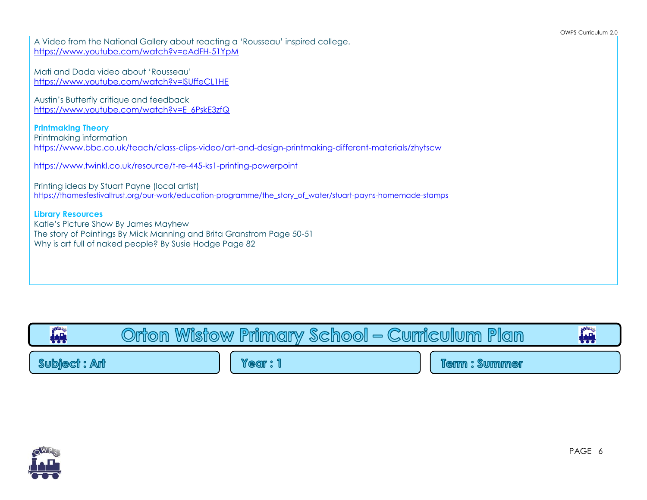| A Video from the National Gallery about reacting a 'Rousseau' inspired college.<br>https://www.youtube.com/watch?v=eAdFH-51YpM                                                                       |
|------------------------------------------------------------------------------------------------------------------------------------------------------------------------------------------------------|
| Mati and Dada video about 'Rousseau'<br>https://www.youtube.com/watch?v=ISUffeCL1HE                                                                                                                  |
| Austin's Butterfly critique and feedback<br>https://www.youtube.com/watch?v=E_6PskE3zfQ                                                                                                              |
| <b>Printmaking Theory</b><br>Printmaking information<br>https://www.bbc.co.uk/teach/class-clips-video/art-and-design-printmaking-different-materials/zhytscw                                         |
| https://www.twinkl.co.uk/resource/t-re-445-ks1-printing-powerpoint                                                                                                                                   |
| Printing ideas by Stuart Payne (local artist)<br>https://thamesfestivaltrust.org/our-work/education-programme/the story of water/stuart-payns-homemade-stamps                                        |
| <b>Library Resources</b><br>Katie's Picture Show By James Mayhew<br>The story of Paintings By Mick Manning and Brita Granstrom Page 50-51<br>Why is art full of naked people? By Susie Hodge Page 82 |
|                                                                                                                                                                                                      |

| <b>OWRS</b><br>轉    | Wisfow<br>Onion | <b>Primary</b> | School<br>$\equiv$ |  | Plan<br><b>Curriculum</b> | <b>OWRS</b><br>₩ |
|---------------------|-----------------|----------------|--------------------|--|---------------------------|------------------|
| <b>Subject: Ant</b> |                 | Year           |                    |  | : Summer<br><b>Jerm</b>   |                  |

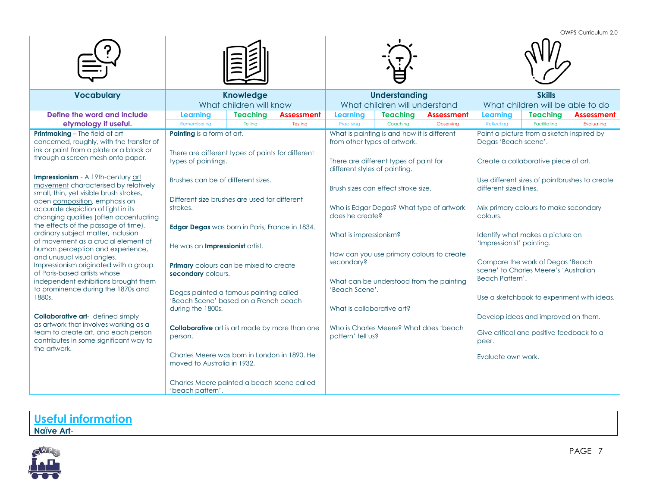OWPS Curriculum 2.0

|                                                                                                                                                                                                                                                                                                                                                                                                                                                                                                                                                                                                                                                                                                                                                                                      |                                                                                                                                                                                                                                                                                                                                                                                             |                                                                 |         |                                                                                                           |                                                                                                                                 |                                                                        | OWI J CUITCUIUIT Z.U                                                                                                                                                                                                                                                                                                          |                   |            |
|--------------------------------------------------------------------------------------------------------------------------------------------------------------------------------------------------------------------------------------------------------------------------------------------------------------------------------------------------------------------------------------------------------------------------------------------------------------------------------------------------------------------------------------------------------------------------------------------------------------------------------------------------------------------------------------------------------------------------------------------------------------------------------------|---------------------------------------------------------------------------------------------------------------------------------------------------------------------------------------------------------------------------------------------------------------------------------------------------------------------------------------------------------------------------------------------|-----------------------------------------------------------------|---------|-----------------------------------------------------------------------------------------------------------|---------------------------------------------------------------------------------------------------------------------------------|------------------------------------------------------------------------|-------------------------------------------------------------------------------------------------------------------------------------------------------------------------------------------------------------------------------------------------------------------------------------------------------------------------------|-------------------|------------|
| <b>Vocabulary</b>                                                                                                                                                                                                                                                                                                                                                                                                                                                                                                                                                                                                                                                                                                                                                                    | <b>Knowledge</b>                                                                                                                                                                                                                                                                                                                                                                            |                                                                 |         | <b>Understanding</b>                                                                                      |                                                                                                                                 |                                                                        | <b>Skills</b>                                                                                                                                                                                                                                                                                                                 |                   |            |
| Define the word and include                                                                                                                                                                                                                                                                                                                                                                                                                                                                                                                                                                                                                                                                                                                                                          | <b>Learning</b>                                                                                                                                                                                                                                                                                                                                                                             | What children will know<br><b>Teaching</b><br><b>Assessment</b> |         | What children will understand<br><b>Teaching</b><br><b>Assessment</b><br><b>Learning</b>                  |                                                                                                                                 | What children will be able to do<br><b>Teaching</b><br><b>Learning</b> |                                                                                                                                                                                                                                                                                                                               | <b>Assessment</b> |            |
| etymology if useful.                                                                                                                                                                                                                                                                                                                                                                                                                                                                                                                                                                                                                                                                                                                                                                 | Remembering                                                                                                                                                                                                                                                                                                                                                                                 | Telling                                                         | Testing | Practising                                                                                                | Coaching                                                                                                                        | Observing                                                              | Reflecting                                                                                                                                                                                                                                                                                                                    | Facilitating      | Evaluating |
| <b>Printmaking</b> - The field of art<br>concerned, roughly, with the transfer of<br>ink or paint from a plate or a block or<br>through a screen mesh onto paper.                                                                                                                                                                                                                                                                                                                                                                                                                                                                                                                                                                                                                    | <b>Painting</b> is a form of art.<br>There are different types of paints for different<br>types of paintings.                                                                                                                                                                                                                                                                               |                                                                 |         |                                                                                                           | What is painting is and how it is different<br>from other types of artwork.<br>There are different types of paint for           |                                                                        | Paint a picture from a sketch inspired by<br>Degas 'Beach scene'.<br>Create a collaborative piece of art.                                                                                                                                                                                                                     |                   |            |
| Impressionism - A 19th-century art<br>movement characterised by relatively<br>small, thin, yet visible brush strokes,<br>open composition, emphasis on<br>accurate depiction of light in its<br>changing qualities (often accentuating<br>the effects of the passage of time),<br>ordinary subject matter, inclusion<br>of movement as a crucial element of<br>human perception and experience,<br>and unusual visual angles.<br>Impressionism originated with a group<br>of Paris-based artists whose<br>independent exhibitions brought them<br>to prominence during the 1870s and<br>1880s.<br><b>Collaborative art-</b> defined simply<br>as artwork that involves working as a<br>team to create art, and each person<br>contributes in some significant way to<br>the artwork. | Brushes can be of different sizes.<br>Different size brushes are used for different<br>strokes.                                                                                                                                                                                                                                                                                             |                                                                 |         | different styles of painting.<br>does he create?                                                          | Brush sizes can effect stroke size.<br>Who is Edgar Degas? What type of artwork                                                 |                                                                        | Use different sizes of paintbrushes to create<br>different sized lines.<br>Mix primary colours to make secondary<br>colours.                                                                                                                                                                                                  |                   |            |
|                                                                                                                                                                                                                                                                                                                                                                                                                                                                                                                                                                                                                                                                                                                                                                                      | Edgar Degas was born in Paris, France in 1834.<br>He was an <b>Impressionist</b> artist.<br><b>Primary</b> colours can be mixed to create<br>secondary colours.<br>Degas painted a famous painting called<br>'Beach Scene' based on a French beach<br>during the 1800s.<br><b>Collaborative</b> art is art made by more than one<br>person.<br>Charles Meere was born in London in 1890. He |                                                                 |         | What is impressionism?<br>secondary?<br>'Beach Scene'.<br>What is collaborative art?<br>pattern' tell us? | How can you use primary colours to create<br>What can be understood from the painting<br>Who is Charles Meere? What does 'beach |                                                                        | Identify what makes a picture an<br>'Impressionist' painting.<br>Compare the work of Degas 'Beach<br>scene' to Charles Meere's 'Australian<br>Beach Pattern'.<br>Use a sketchbook to experiment with ideas.<br>Develop ideas and improved on them.<br>Give critical and positive feedback to a<br>peer.<br>Evaluate own work. |                   |            |
|                                                                                                                                                                                                                                                                                                                                                                                                                                                                                                                                                                                                                                                                                                                                                                                      | moved to Australia in 1932.<br>Charles Meere painted a beach scene called<br>'beach pattern'.                                                                                                                                                                                                                                                                                               |                                                                 |         |                                                                                                           |                                                                                                                                 |                                                                        |                                                                                                                                                                                                                                                                                                                               |                   |            |



PAGE 7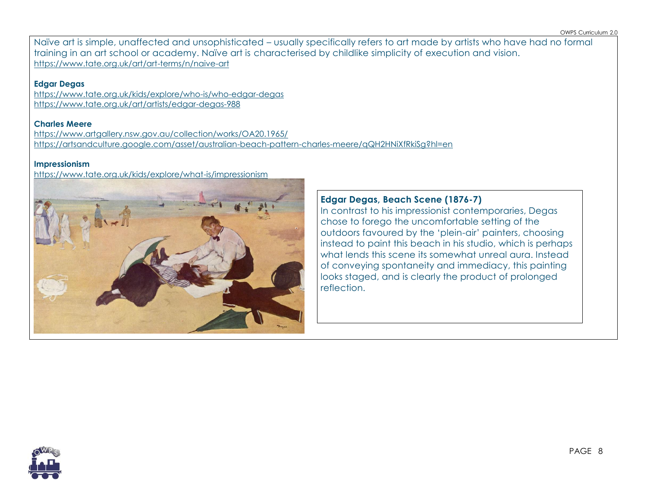Naïve art is simple, unaffected and unsophisticated – usually specifically refers to art made by artists who have had no formal training in an art school or academy. Naïve art is characterised by childlike simplicity of execution and vision. <https://www.tate.org.uk/art/art-terms/n/naive-art>

**Edgar Degas** <https://www.tate.org.uk/kids/explore/who-is/who-edgar-degas> <https://www.tate.org.uk/art/artists/edgar-degas-988>

### **Charles Meere**

<https://www.artgallery.nsw.gov.au/collection/works/OA20.1965/> <https://artsandculture.google.com/asset/australian-beach-pattern-charles-meere/qQH2HNiXfRkiSg?hl=en>

### **Impressionism**

<https://www.tate.org.uk/kids/explore/what-is/impressionism>



## **Edgar Degas, Beach Scene (1876-7)**

In contrast to his impressionist contemporaries, Degas chose to forego the uncomfortable setting of the outdoors favoured by the 'plein-air' painters, choosing instead to paint this beach in his studio, which is perhaps what lends this scene its somewhat unreal aura. Instead of conveying spontaneity and immediacy, this painting looks staged, and is clearly the product of prolonged reflection.